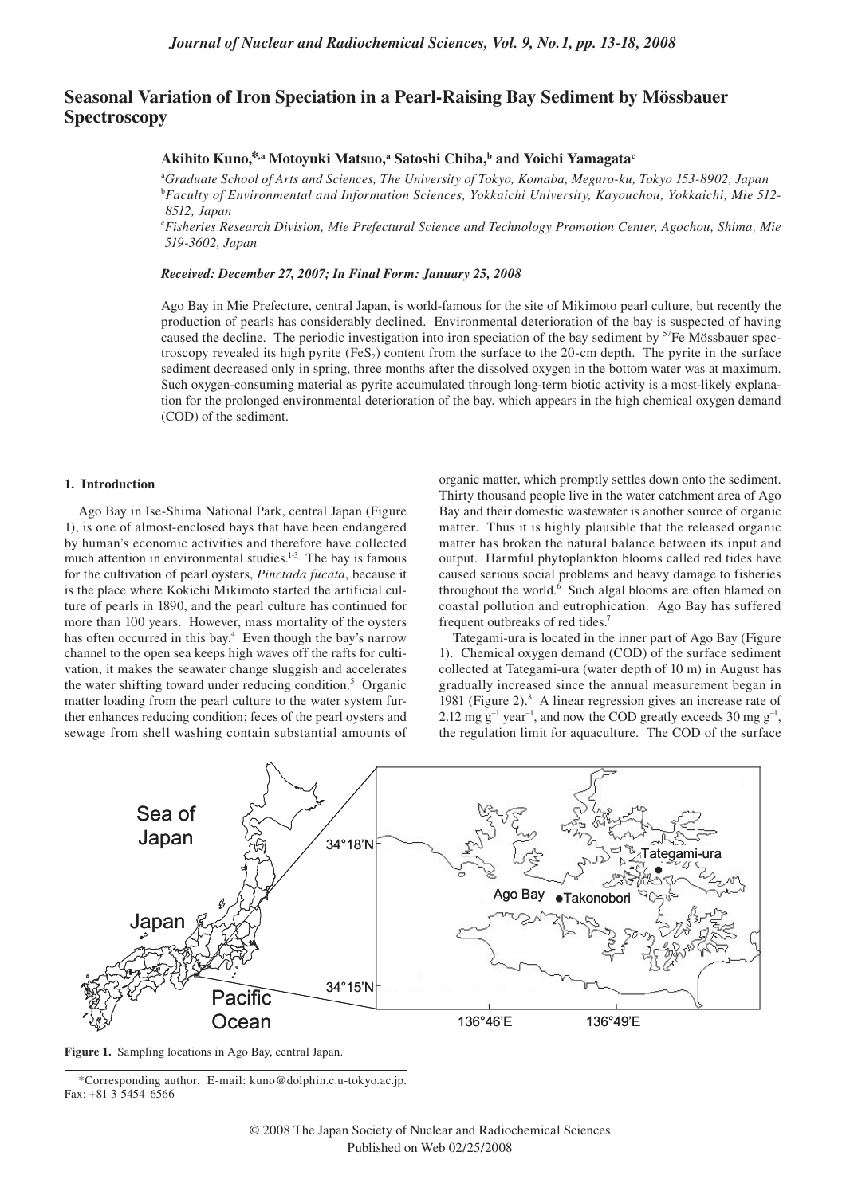# **Seasonal Variation of Iron Speciation in a Pearl-Raising Bay Sediment by Mössbauer Spectroscopy**

# **Akihito Kuno,\*,a Motoyuki Matsuo, a Satoshi Chiba,b and Yoichi Yamagatac**

a *Graduate School of Arts and Sciences, The University of Tokyo, Komaba, Meguro-ku, Tokyo 153-8902, Japan* <sup>b</sup>*Faculty of Environmental and Information Sciences, Yokkaichi University, Kayouchou, Yokkaichi, Mie 512- 8512, Japan*

<sup>c</sup>*Fisheries Research Division, Mie Prefectural Science and Technology Promotion Center, Agochou, Shima, Mie 519-3602, Japan*

#### *Received: December 27, 2007; In Final Form: January 25, 2008*

Ago Bay in Mie Prefecture, central Japan, is world-famous for the site of Mikimoto pearl culture, but recently the production of pearls has considerably declined. Environmental deterioration of the bay is suspected of having caused the decline. The periodic investigation into iron speciation of the bay sediment by  $<sup>57</sup>Fe M$ össbauer spec-</sup> troscopy revealed its high pyrite  $(F \in S_2)$  content from the surface to the 20-cm depth. The pyrite in the surface sediment decreased only in spring, three months after the dissolved oxygen in the bottom water was at maximum. Such oxygen-consuming material as pyrite accumulated through long-term biotic activity is a most-likely explanation for the prolonged environmental deterioration of the bay, which appears in the high chemical oxygen demand (COD) of the sediment.

## **1. Introduction**

Ago Bay in Ise-Shima National Park, central Japan (Figure 1), is one of almost-enclosed bays that have been endangered by human's economic activities and therefore have collected much attention in environmental studies.<sup>1-3</sup> The bay is famous for the cultivation of pearl oysters, *Pinctada fucata*, because it is the place where Kokichi Mikimoto started the artificial culture of pearls in 1890, and the pearl culture has continued for more than 100 years. However, mass mortality of the oysters has often occurred in this bay.<sup>4</sup> Even though the bay's narrow channel to the open sea keeps high waves off the rafts for cultivation, it makes the seawater change sluggish and accelerates the water shifting toward under reducing condition.<sup>5</sup> Organic matter loading from the pearl culture to the water system further enhances reducing condition; feces of the pearl oysters and sewage from shell washing contain substantial amounts of

organic matter, which promptly settles down onto the sediment. Thirty thousand people live in the water catchment area of Ago Bay and their domestic wastewater is another source of organic matter. Thus it is highly plausible that the released organic matter has broken the natural balance between its input and output. Harmful phytoplankton blooms called red tides have caused serious social problems and heavy damage to fisheries throughout the world.<sup>6</sup> Such algal blooms are often blamed on coastal pollution and eutrophication. Ago Bay has suffered frequent outbreaks of red tides.7

Tategami-ura is located in the inner part of Ago Bay (Figure 1). Chemical oxygen demand (COD) of the surface sediment collected at Tategami-ura (water depth of 10 m) in August has gradually increased since the annual measurement began in 1981 (Figure 2).<sup>8</sup> A linear regression gives an increase rate of 2.12 mg  $g^{-1}$  year<sup>-1</sup>, and now the COD greatly exceeds 30 mg  $g^{-1}$ , the regulation limit for aquaculture. The COD of the surface



**Figure 1.** Sampling locations in Ago Bay, central Japan.

<sup>\*</sup>Corresponding author. E-mail: kuno@dolphin.c.u-tokyo.ac.jp. Fax: +81-3-5454-6566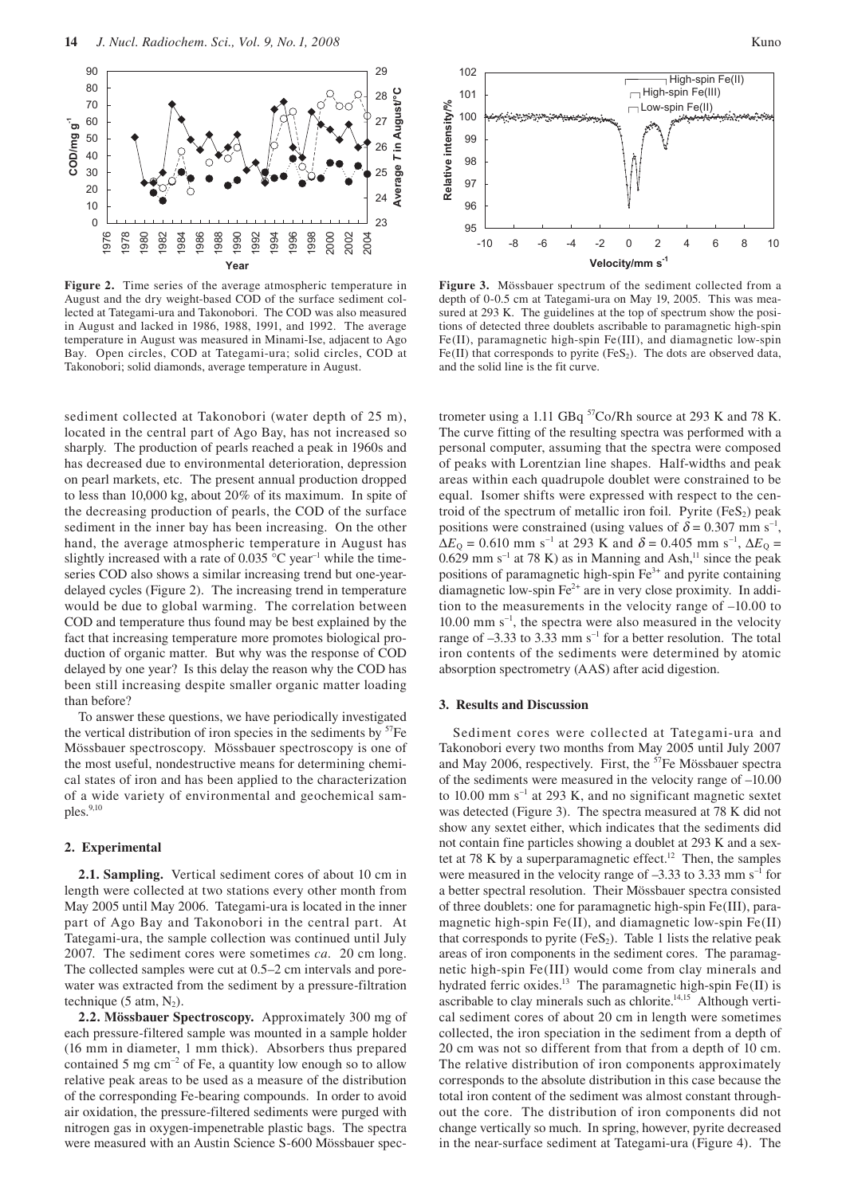

**Figure 2.** Time series of the average atmospheric temperature in August and the dry weight-based COD of the surface sediment collected at Tategami-ura and Takonobori. The COD was also measured in August and lacked in 1986, 1988, 1991, and 1992. The average temperature in August was measured in Minami-Ise, adjacent to Ago Bay. Open circles, COD at Tategami-ura; solid circles, COD at Takonobori; solid diamonds, average temperature in August.

sediment collected at Takonobori (water depth of 25 m), located in the central part of Ago Bay, has not increased so sharply. The production of pearls reached a peak in 1960s and has decreased due to environmental deterioration, depression on pearl markets, etc. The present annual production dropped to less than 10,000 kg, about 20% of its maximum. In spite of the decreasing production of pearls, the COD of the surface sediment in the inner bay has been increasing. On the other hand, the average atmospheric temperature in August has slightly increased with a rate of 0.035  $^{\circ}$ C year<sup>-1</sup> while the timeseries COD also shows a similar increasing trend but one-yeardelayed cycles (Figure 2). The increasing trend in temperature would be due to global warming. The correlation between COD and temperature thus found may be best explained by the fact that increasing temperature more promotes biological production of organic matter. But why was the response of COD delayed by one year? Is this delay the reason why the COD has been still increasing despite smaller organic matter loading than before?

To answer these questions, we have periodically investigated the vertical distribution of iron species in the sediments by  ${}^{57}Fe$ Mössbauer spectroscopy. Mössbauer spectroscopy is one of the most useful, nondestructive means for determining chemical states of iron and has been applied to the characterization of a wide variety of environmental and geochemical samples.<sup>9,10</sup>

### **2. Experimental**

**2.1. Sampling.** Vertical sediment cores of about 10 cm in length were collected at two stations every other month from May 2005 until May 2006. Tategami-ura is located in the inner part of Ago Bay and Takonobori in the central part. At Tategami-ura, the sample collection was continued until July 2007. The sediment cores were sometimes *ca.* 20 cm long. The collected samples were cut at 0.5–2 cm intervals and porewater was extracted from the sediment by a pressure-filtration technique (5 atm,  $N_2$ ).

**2.2. Mössbauer Spectroscopy.** Approximately 300 mg of each pressure-filtered sample was mounted in a sample holder (16 mm in diameter, 1 mm thick). Absorbers thus prepared contained 5 mg  $\text{cm}^{-2}$  of Fe, a quantity low enough so to allow relative peak areas to be used as a measure of the distribution of the corresponding Fe-bearing compounds. In order to avoid air oxidation, the pressure-filtered sediments were purged with nitrogen gas in oxygen-impenetrable plastic bags. The spectra were measured with an Austin Science S-600 Mössbauer spec-





102

**Figure 3.** Mössbauer spectrum of the sediment collected from a depth of 0-0.5 cm at Tategami-ura on May 19, 2005. This was measured at 293 K. The guidelines at the top of spectrum show the positions of detected three doublets ascribable to paramagnetic high-spin Fe(II), paramagnetic high-spin Fe(III), and diamagnetic low-spin Fe(II) that corresponds to pyrite (FeS<sub>2</sub>). The dots are observed data, and the solid line is the fit curve.

trometer using a 1.11 GBq <sup>57</sup>Co/Rh source at 293 K and 78 K. The curve fitting of the resulting spectra was performed with a personal computer, assuming that the spectra were composed of peaks with Lorentzian line shapes. Half-widths and peak areas within each quadrupole doublet were constrained to be equal. Isomer shifts were expressed with respect to the centroid of the spectrum of metallic iron foil. Pyrite  $(F \in S_2)$  peak positions were constrained (using values of  $\delta = 0.307$  mm s<sup>-1</sup>,  $\Delta E_{\rm Q} = 0.610$  mm s<sup>-1</sup> at 293 K and  $\delta = 0.405$  mm s<sup>-1</sup>,  $\Delta E_{\rm Q} =$  $0.629$  mm s<sup>-1</sup> at 78 K) as in Manning and Ash,<sup>11</sup> since the peak positions of paramagnetic high-spin  $Fe<sup>3+</sup>$  and pyrite containing diamagnetic low-spin Fe<sup>2+</sup> are in very close proximity. In addition to the measurements in the velocity range of –10.00 to  $10.00$  mm s<sup>-1</sup>, the spectra were also measured in the velocity range of  $-3.33$  to 3.33 mm s<sup>-1</sup> for a better resolution. The total iron contents of the sediments were determined by atomic absorption spectrometry (AAS) after acid digestion.

#### **3. Results and Discussion**

Sediment cores were collected at Tategami-ura and Takonobori every two months from May 2005 until July 2007 and May 2006, respectively. First, the  ${}^{57}Fe$  Mössbauer spectra of the sediments were measured in the velocity range of –10.00 to 10.00 mm  $s^{-1}$  at 293 K, and no significant magnetic sextet was detected (Figure 3). The spectra measured at 78 K did not show any sextet either, which indicates that the sediments did not contain fine particles showing a doublet at 293 K and a sextet at 78 K by a superparamagnetic effect.<sup>12</sup> Then, the samples were measured in the velocity range of  $-3.33$  to 3.33 mm s<sup>-1</sup> for a better spectral resolution. Their Mössbauer spectra consisted of three doublets: one for paramagnetic high-spin Fe(III), paramagnetic high-spin Fe(II), and diamagnetic low-spin Fe(II) that corresponds to pyrite  $(F \in S_2)$ . Table 1 lists the relative peak areas of iron components in the sediment cores. The paramagnetic high-spin Fe(III) would come from clay minerals and hydrated ferric oxides.<sup>13</sup> The paramagnetic high-spin Fe(II) is ascribable to clay minerals such as chlorite.14,15 Although vertical sediment cores of about 20 cm in length were sometimes collected, the iron speciation in the sediment from a depth of 20 cm was not so different from that from a depth of 10 cm. The relative distribution of iron components approximately corresponds to the absolute distribution in this case because the total iron content of the sediment was almost constant throughout the core. The distribution of iron components did not change vertically so much. In spring, however, pyrite decreased in the near-surface sediment at Tategami-ura (Figure 4). The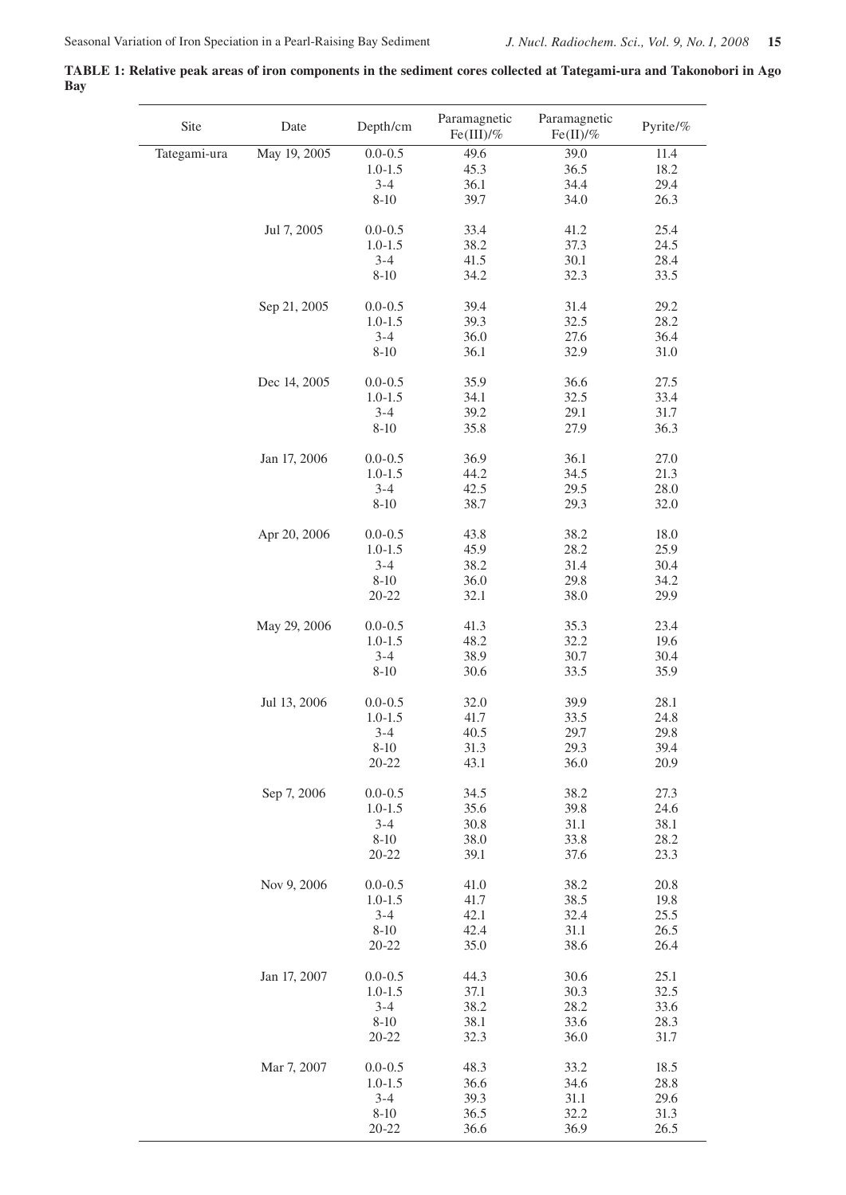**TABLE 1: Relative peak areas of iron components in the sediment cores collected at Tategami-ura and Takonobori in Ago Bay**

| Site         | Date         | Depth/cm    | Paramagnetic<br>Fe(III)/% | Paramagnetic<br>Fe(II)/% | Pyrite/% |
|--------------|--------------|-------------|---------------------------|--------------------------|----------|
| Tategami-ura | May 19, 2005 | $0.0 - 0.5$ | 49.6                      | 39.0                     | 11.4     |
|              |              | $1.0 - 1.5$ | 45.3                      | 36.5                     | 18.2     |
|              |              | $3 - 4$     | 36.1                      | 34.4                     | 29.4     |
|              |              | $8 - 10$    | 39.7                      | 34.0                     | 26.3     |
|              | Jul 7, 2005  | $0.0 - 0.5$ | 33.4                      | 41.2                     | 25.4     |
|              |              | $1.0 - 1.5$ | 38.2                      | 37.3                     | 24.5     |
|              |              | $3 - 4$     | 41.5                      | 30.1                     | 28.4     |
|              |              | $8 - 10$    | 34.2                      | 32.3                     | 33.5     |
|              | Sep 21, 2005 | $0.0 - 0.5$ | 39.4                      | 31.4                     | 29.2     |
|              |              | $1.0 - 1.5$ | 39.3                      | 32.5                     | 28.2     |
|              |              | $3 - 4$     | 36.0                      | 27.6                     | 36.4     |
|              |              | $8 - 10$    | 36.1                      | 32.9                     | 31.0     |
|              | Dec 14, 2005 | $0.0 - 0.5$ | 35.9                      | 36.6                     | 27.5     |
|              |              | $1.0 - 1.5$ | 34.1                      | 32.5                     | 33.4     |
|              |              | $3 - 4$     | 39.2                      | 29.1                     | $31.7\,$ |
|              |              | $8 - 10$    | 35.8                      | 27.9                     | 36.3     |
|              | Jan 17, 2006 | $0.0 - 0.5$ | 36.9                      | 36.1                     | 27.0     |
|              |              | $1.0 - 1.5$ | 44.2                      | 34.5                     | 21.3     |
|              |              | $3 - 4$     | 42.5                      | 29.5                     | 28.0     |
|              |              | $8 - 10$    | 38.7                      | 29.3                     | 32.0     |
|              | Apr 20, 2006 | $0.0 - 0.5$ | 43.8                      | 38.2                     | 18.0     |
|              |              | $1.0 - 1.5$ | 45.9                      | 28.2                     | 25.9     |
|              |              | $3 - 4$     | 38.2                      | 31.4                     | 30.4     |
|              |              | $8 - 10$    | 36.0                      | 29.8                     | 34.2     |
|              |              | $20 - 22$   | 32.1                      | 38.0                     | 29.9     |
|              | May 29, 2006 | $0.0 - 0.5$ | 41.3                      | 35.3                     | 23.4     |
|              |              | $1.0 - 1.5$ | 48.2                      | 32.2                     | 19.6     |
|              |              | $3 - 4$     | 38.9                      | 30.7                     | 30.4     |
|              |              | $8 - 10$    | 30.6                      | 33.5                     | 35.9     |
|              | Jul 13, 2006 | $0.0 - 0.5$ | 32.0                      | 39.9                     | 28.1     |
|              |              | $1.0 - 1.5$ | 41.7                      | 33.5                     | 24.8     |
|              |              | $3 - 4$     | 40.5                      | 29.7                     | 29.8     |
|              |              | $8 - 10$    | 31.3                      | 29.3                     | 39.4     |
|              |              | $20 - 22$   | 43.1                      | 36.0                     | 20.9     |
|              | Sep 7, 2006  | $0.0 - 0.5$ | 34.5                      | 38.2                     | 27.3     |
|              |              | $1.0 - 1.5$ | 35.6                      | 39.8                     | 24.6     |
|              |              | $3 - 4$     | 30.8                      | 31.1                     | 38.1     |
|              |              | $8 - 10$    | 38.0                      | 33.8                     | 28.2     |
|              |              | $20 - 22$   | 39.1                      | 37.6                     | 23.3     |
|              | Nov 9, 2006  | $0.0 - 0.5$ | 41.0                      | 38.2                     | 20.8     |
|              |              | $1.0 - 1.5$ | 41.7                      | 38.5                     | 19.8     |
|              |              | $3 - 4$     | 42.1                      | 32.4                     | 25.5     |
|              |              | $8 - 10$    | 42.4                      | 31.1                     | 26.5     |
|              |              | $20 - 22$   | 35.0                      | 38.6                     | 26.4     |
|              | Jan 17, 2007 | $0.0 - 0.5$ | 44.3                      | 30.6                     | 25.1     |
|              |              | $1.0 - 1.5$ | 37.1                      | 30.3                     | 32.5     |
|              |              | $3 - 4$     | 38.2                      | 28.2                     | 33.6     |
|              |              | $8-10$      | 38.1                      | 33.6                     | 28.3     |
|              |              | $20 - 22$   | 32.3                      | 36.0                     | 31.7     |
|              | Mar 7, 2007  | $0.0 - 0.5$ | 48.3                      | 33.2                     | 18.5     |
|              |              | $1.0 - 1.5$ | 36.6                      | 34.6                     | 28.8     |
|              |              | $3 - 4$     | 39.3                      | 31.1                     | 29.6     |
|              |              | $8 - 10$    | 36.5                      | 32.2                     | 31.3     |
|              |              | $20 - 22$   | 36.6                      | 36.9                     | 26.5     |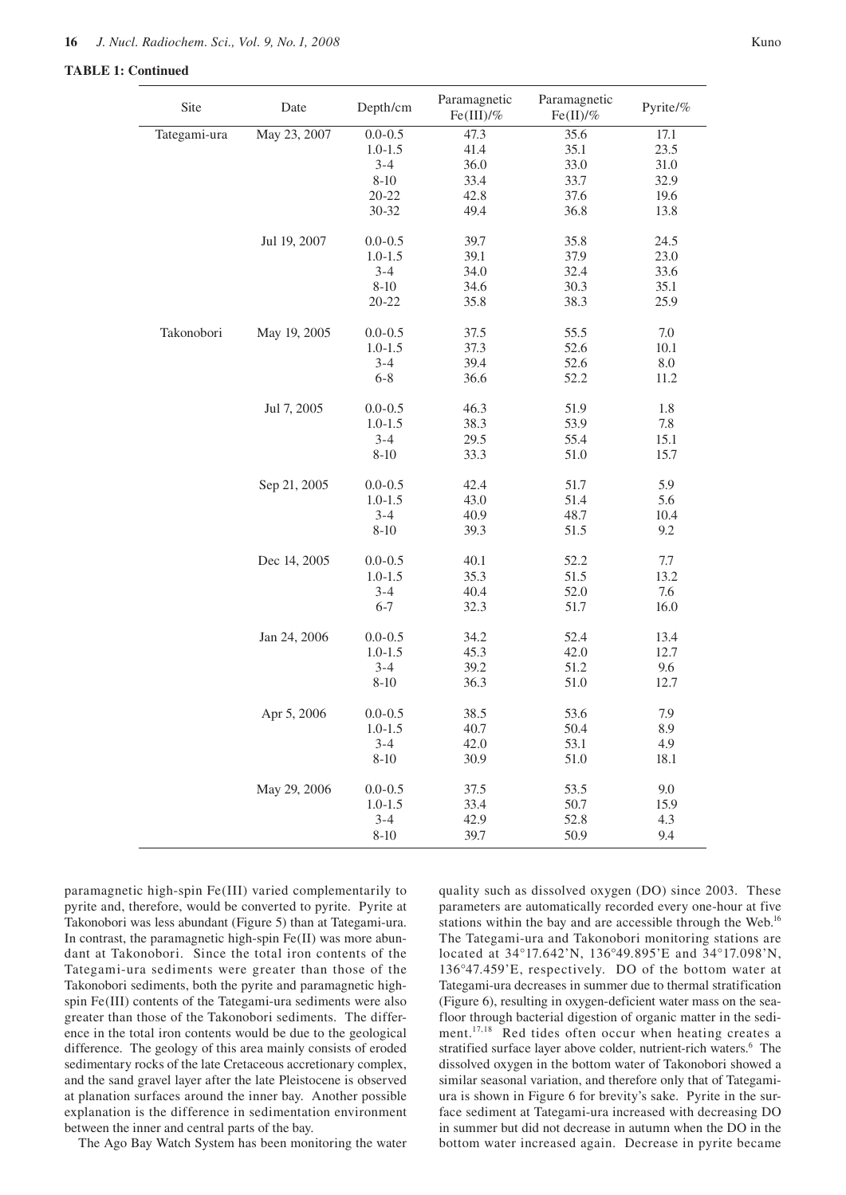### **TABLE 1: Continued**

| Site         | Date         | Depth/cm    | Paramagnetic<br>$Fe (III)/\%$ | Paramagnetic<br>$Fe(II)/\%$ | Pyrite/% |
|--------------|--------------|-------------|-------------------------------|-----------------------------|----------|
| Tategami-ura | May 23, 2007 | $0.0 - 0.5$ | 47.3                          | 35.6                        | 17.1     |
|              |              | $1.0 - 1.5$ | 41.4                          | 35.1                        | 23.5     |
|              |              | $3 - 4$     | 36.0                          | 33.0                        | 31.0     |
|              |              | $8 - 10$    | 33.4                          | 33.7                        | 32.9     |
|              |              | $20 - 22$   | 42.8                          | 37.6                        | 19.6     |
|              |              | $30 - 32$   | 49.4                          | 36.8                        | 13.8     |
|              | Jul 19, 2007 | $0.0 - 0.5$ | 39.7                          | 35.8                        | 24.5     |
|              |              | $1.0 - 1.5$ | 39.1                          | 37.9                        | 23.0     |
|              |              | $3 - 4$     | 34.0                          | 32.4                        | 33.6     |
|              |              | $8 - 10$    | 34.6                          | 30.3                        | 35.1     |
|              |              | $20 - 22$   | 35.8                          | 38.3                        | 25.9     |
| Takonobori   | May 19, 2005 | $0.0 - 0.5$ | 37.5                          | 55.5                        | $7.0\,$  |
|              |              | $1.0 - 1.5$ | 37.3                          | 52.6                        | $10.1\,$ |
|              |              | $3 - 4$     | 39.4                          | 52.6                        | $8.0\,$  |
|              |              | $6 - 8$     | 36.6                          | 52.2                        | 11.2     |
|              | Jul 7, 2005  | $0.0 - 0.5$ | 46.3                          | 51.9                        | 1.8      |
|              |              | $1.0 - 1.5$ | 38.3                          | 53.9                        | 7.8      |
|              |              | $3 - 4$     | 29.5                          | 55.4                        | 15.1     |
|              |              | $8 - 10$    | 33.3                          | 51.0                        | 15.7     |
|              | Sep 21, 2005 | $0.0 - 0.5$ | 42.4                          | 51.7                        | 5.9      |
|              |              | $1.0 - 1.5$ | 43.0                          | 51.4                        | 5.6      |
|              |              | $3 - 4$     | 40.9                          | 48.7                        | 10.4     |
|              |              | $8 - 10$    | 39.3                          | 51.5                        | 9.2      |
|              | Dec 14, 2005 | $0.0 - 0.5$ | 40.1                          | 52.2                        | 7.7      |
|              |              | $1.0 - 1.5$ | 35.3                          | 51.5                        | 13.2     |
|              |              | $3 - 4$     | 40.4                          | 52.0                        | 7.6      |
|              |              | $6 - 7$     | 32.3                          | 51.7                        | 16.0     |
|              | Jan 24, 2006 | $0.0 - 0.5$ | 34.2                          | 52.4                        | 13.4     |
|              |              | $1.0 - 1.5$ | 45.3                          | 42.0                        | 12.7     |
|              |              | $3 - 4$     | 39.2                          | 51.2                        | 9.6      |
|              |              | $8 - 10$    | 36.3                          | 51.0                        | 12.7     |
|              | Apr 5, 2006  | $0.0 - 0.5$ | 38.5                          | 53.6                        | 7.9      |
|              |              | $1.0 - 1.5$ | 40.7                          | 50.4                        | 8.9      |
|              |              | $3 - 4$     | 42.0                          | 53.1                        | 4.9      |
|              |              | $8 - 10$    | 30.9                          | 51.0                        | 18.1     |
|              | May 29, 2006 | $0.0 - 0.5$ | 37.5                          | 53.5                        | 9.0      |
|              |              | $1.0 - 1.5$ | 33.4                          | 50.7                        | 15.9     |
|              |              | $3 - 4$     | 42.9                          | 52.8                        | 4.3      |
|              |              | $8 - 10$    | 39.7                          | 50.9                        | 9.4      |

paramagnetic high-spin Fe(III) varied complementarily to pyrite and, therefore, would be converted to pyrite. Pyrite at Takonobori was less abundant (Figure 5) than at Tategami-ura. In contrast, the paramagnetic high-spin Fe(II) was more abundant at Takonobori. Since the total iron contents of the Tategami-ura sediments were greater than those of the Takonobori sediments, both the pyrite and paramagnetic highspin Fe(III) contents of the Tategami-ura sediments were also greater than those of the Takonobori sediments. The difference in the total iron contents would be due to the geological difference. The geology of this area mainly consists of eroded sedimentary rocks of the late Cretaceous accretionary complex, and the sand gravel layer after the late Pleistocene is observed at planation surfaces around the inner bay. Another possible explanation is the difference in sedimentation environment between the inner and central parts of the bay.

The Ago Bay Watch System has been monitoring the water

quality such as dissolved oxygen (DO) since 2003. These parameters are automatically recorded every one-hour at five stations within the bay and are accessible through the Web.<sup>16</sup> The Tategami-ura and Takonobori monitoring stations are located at 34°17.642'N, 136°49.895'E and 34°17.098'N, 136°47.459'E, respectively. DO of the bottom water at Tategami-ura decreases in summer due to thermal stratification (Figure 6), resulting in oxygen-deficient water mass on the seafloor through bacterial digestion of organic matter in the sediment.17,18 Red tides often occur when heating creates a stratified surface layer above colder, nutrient-rich waters.<sup>6</sup> The dissolved oxygen in the bottom water of Takonobori showed a similar seasonal variation, and therefore only that of Tategamiura is shown in Figure 6 for brevity's sake. Pyrite in the surface sediment at Tategami-ura increased with decreasing DO in summer but did not decrease in autumn when the DO in the bottom water increased again. Decrease in pyrite became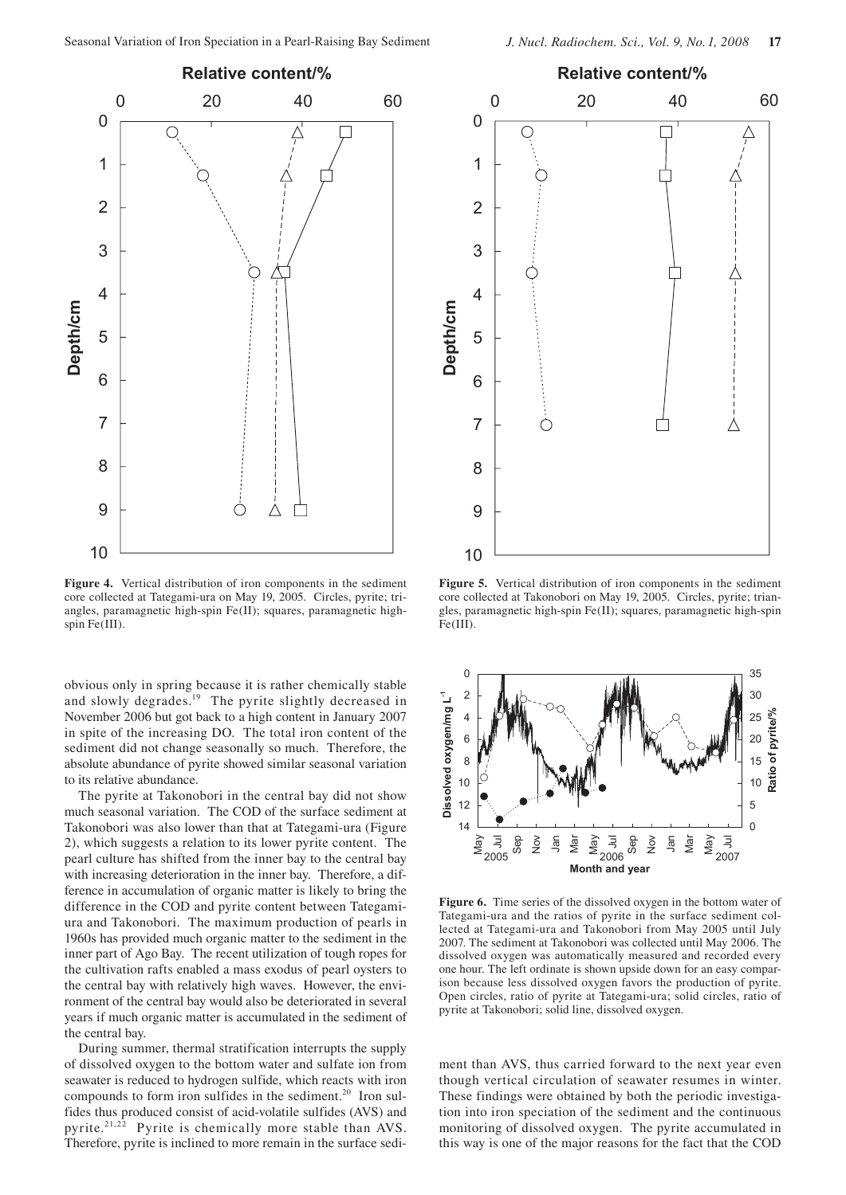

**Figure 4.** Vertical distribution of iron components in the sediment core collected at Tategami-ura on May 19, 2005. Circles, pyrite; triangles, paramagnetic high-spin Fe(II); squares, paramagnetic highspin Fe(III).

obvious only in spring because it is rather chemically stable and slowly degrades.<sup>19</sup> The pyrite slightly decreased in November 2006 but got back to a high content in January 2007 in spite of the increasing DO. The total iron content of the sediment did not change seasonally so much. Therefore, the absolute abundance of pyrite showed similar seasonal variation to its relative abundance.

The pyrite at Takonobori in the central bay did not show much seasonal variation. The COD of the surface sediment at Takonobori was also lower than that at Tategami-ura (Figure 2), which suggests a relation to its lower pyrite content. The pearl culture has shifted from the inner bay to the central bay with increasing deterioration in the inner bay. Therefore, a difference in accumulation of organic matter is likely to bring the difference in the COD and pyrite content between Tategamiura and Takonobori. The maximum production of pearls in 1960s has provided much organic matter to the sediment in the inner part of Ago Bay. The recent utilization of tough ropes for the cultivation rafts enabled a mass exodus of pearl oysters to the central bay with relatively high waves. However, the environment of the central bay would also be deteriorated in several years if much organic matter is accumulated in the sediment of the central bay.

During summer, thermal stratification interrupts the supply of dissolved oxygen to the bottom water and sulfate ion from seawater is reduced to hydrogen sulfide, which reacts with iron compounds to form iron sulfides in the sediment.<sup>20</sup> Iron sulfides thus produced consist of acid-volatile sulfides (AVS) and pyrite.21,22 Pyrite is chemically more stable than AVS. Therefore, pyrite is inclined to more remain in the surface sedi-



**Figure 5.** Vertical distribution of iron components in the sediment core collected at Takonobori on May 19, 2005. Circles, pyrite; triangles, paramagnetic high-spin Fe(II); squares, paramagnetic high-spin Fe(III).



**Figure 6.** Time series of the dissolved oxygen in the bottom water of Tategami-ura and the ratios of pyrite in the surface sediment collected at Tategami-ura and Takonobori from May 2005 until July 2007. The sediment at Takonobori was collected until May 2006. The dissolved oxygen was automatically measured and recorded every one hour. The left ordinate is shown upside down for an easy comparison because less dissolved oxygen favors the production of pyrite. Open circles, ratio of pyrite at Tategami-ura; solid circles, ratio of pyrite at Takonobori; solid line, dissolved oxygen.

ment than AVS, thus carried forward to the next year even though vertical circulation of seawater resumes in winter. These findings were obtained by both the periodic investigation into iron speciation of the sediment and the continuous monitoring of dissolved oxygen. The pyrite accumulated in this way is one of the major reasons for the fact that the COD